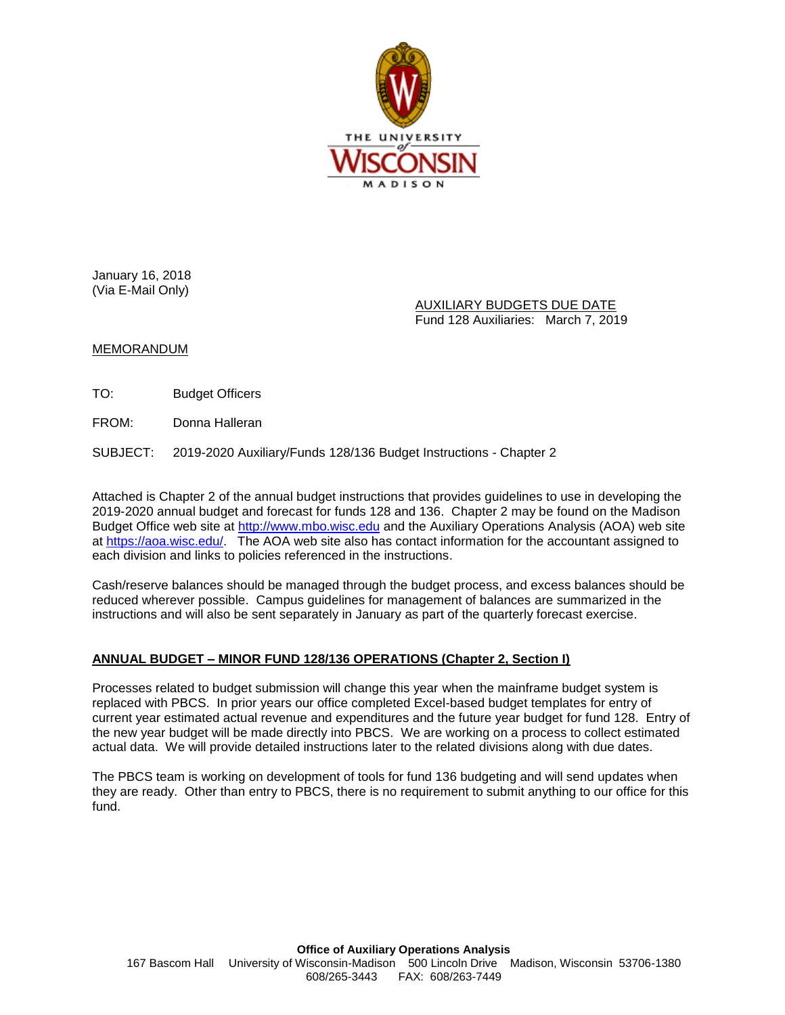

January 16, 2018 (Via E-Mail Only)

> AUXILIARY BUDGETS DUE DATE Fund 128 Auxiliaries: March 7, 2019

## MEMORANDUM

TO: Budget Officers

FROM: Donna Halleran

SUBJECT: 2019-2020 Auxiliary/Funds 128/136 Budget Instructions - Chapter 2

Attached is Chapter 2 of the annual budget instructions that provides guidelines to use in developing the 2019-2020 annual budget and forecast for funds 128 and 136. Chapter 2 may be found on the Madison Budget Office web site at [http://www.mbo.wisc.edu](http://www.mbo.wisc.edu/) and the Auxiliary Operations Analysis (AOA) web site at [https://aoa.wisc.edu/.](https://aoa.wisc.edu/) The AOA web site also has contact information for the accountant assigned to each division and links to policies referenced in the instructions.

Cash/reserve balances should be managed through the budget process, and excess balances should be reduced wherever possible. Campus guidelines for management of balances are summarized in the instructions and will also be sent separately in January as part of the quarterly forecast exercise.

## **ANNUAL BUDGET – MINOR FUND 128/136 OPERATIONS (Chapter 2, Section I)**

Processes related to budget submission will change this year when the mainframe budget system is replaced with PBCS. In prior years our office completed Excel-based budget templates for entry of current year estimated actual revenue and expenditures and the future year budget for fund 128. Entry of the new year budget will be made directly into PBCS. We are working on a process to collect estimated actual data. We will provide detailed instructions later to the related divisions along with due dates.

The PBCS team is working on development of tools for fund 136 budgeting and will send updates when they are ready. Other than entry to PBCS, there is no requirement to submit anything to our office for this fund.